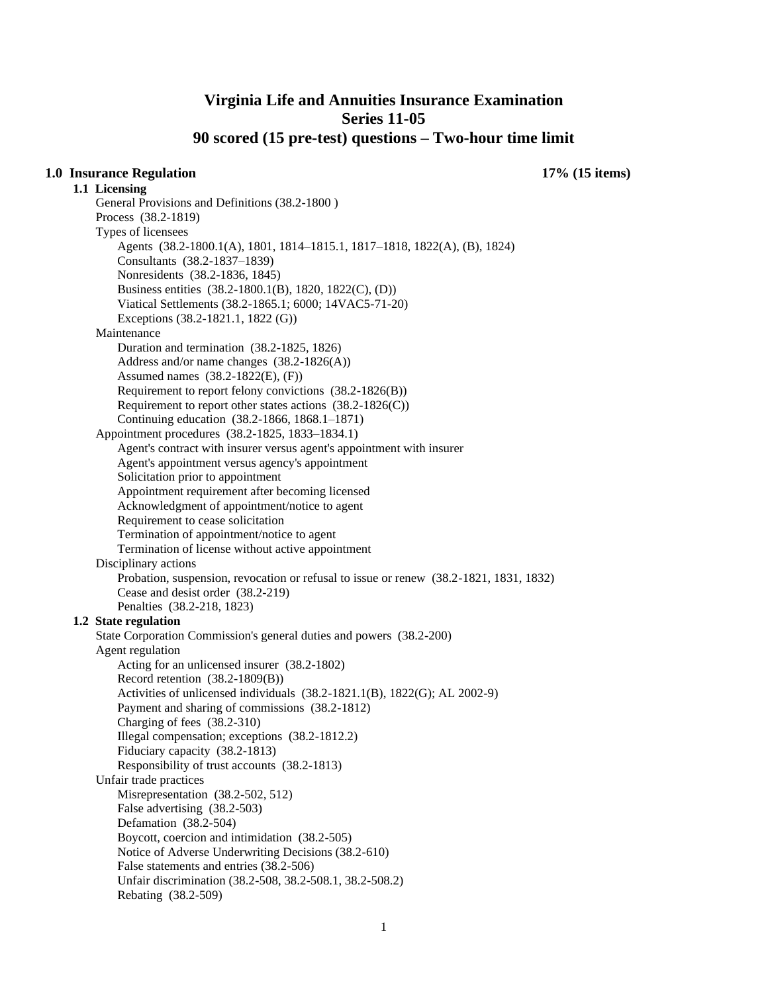## **Virginia Life and Annuities Insurance Examination Series 11-05 90 scored (15 pre-test) questions – Two-hour time limit**

#### **1.0 Insurance Regulation 17% (15 items)**

**1.1 Licensing**  General Provisions and Definitions (38.2-1800 ) Process (38.2-1819) Types of licensees Agents (38.2-1800.1(A), 1801, 1814–1815.1, 1817–1818, 1822(A), (B), 1824) Consultants (38.2-1837–1839) Nonresidents (38.2-1836, 1845) Business entities (38.2-1800.1(B), 1820, 1822(C), (D)) Viatical Settlements (38.2-1865.1; 6000; 14VAC5-71-20) Exceptions (38.2-1821.1, 1822 (G)) Maintenance Duration and termination (38.2-1825, 1826) Address and/or name changes (38.2-1826(A)) Assumed names (38.2-1822(E), (F)) Requirement to report felony convictions (38.2-1826(B)) Requirement to report other states actions (38.2-1826(C)) Continuing education (38.2-1866, 1868.1–1871) Appointment procedures (38.2-1825, 1833–1834.1) Agent's contract with insurer versus agent's appointment with insurer Agent's appointment versus agency's appointment Solicitation prior to appointment Appointment requirement after becoming licensed Acknowledgment of appointment/notice to agent Requirement to cease solicitation Termination of appointment/notice to agent Termination of license without active appointment Disciplinary actions Probation, suspension, revocation or refusal to issue or renew (38.2-1821, 1831, 1832) Cease and desist order (38.2-219) Penalties (38.2-218, 1823) **1.2 State regulation**  State Corporation Commission's general duties and powers (38.2-200) Agent regulation Acting for an unlicensed insurer (38.2-1802) Record retention (38.2-1809(B)) Activities of unlicensed individuals (38.2-1821.1(B), 1822(G); AL 2002-9) Payment and sharing of commissions (38.2-1812) Charging of fees (38.2-310) Illegal compensation; exceptions (38.2-1812.2) Fiduciary capacity (38.2-1813) Responsibility of trust accounts (38.2-1813) Unfair trade practices Misrepresentation (38.2-502, 512) False advertising (38.2-503) Defamation (38.2-504) Boycott, coercion and intimidation (38.2-505) Notice of Adverse Underwriting Decisions (38.2-610) False statements and entries (38.2-506) Unfair discrimination (38.2-508, 38.2-508.1, 38.2-508.2) Rebating (38.2-509)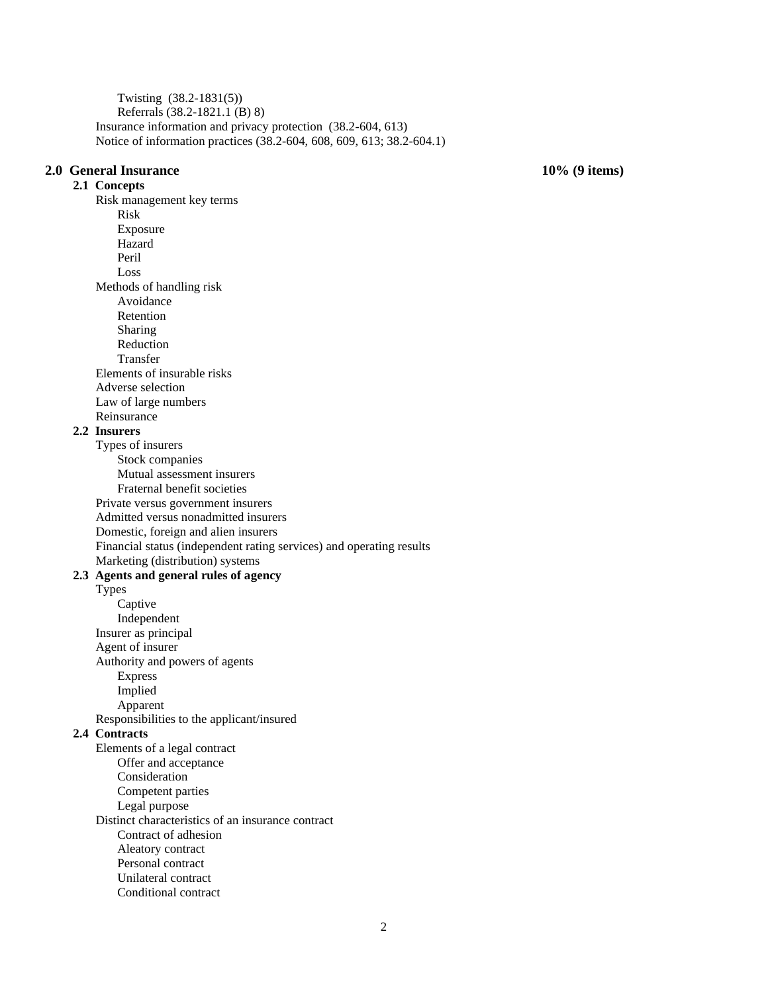Twisting (38.2-1831(5)) Referrals (38.2-1821.1 (B) 8) Insurance information and privacy protection (38.2-604, 613) Notice of information practices (38.2-604, 608, 609, 613; 38.2-604.1)

#### **2.0 General Insurance 10% (9 items)**

**2.1 Concepts**  Risk management key terms Risk Exposure Hazard Peril Loss Methods of handling risk Avoidance Retention Sharing Reduction Transfer Elements of insurable risks Adverse selection Law of large numbers Reinsurance **2.2 Insurers**  Types of insurers Stock companies Mutual assessment insurers Fraternal benefit societies Private versus government insurers Admitted versus nonadmitted insurers Domestic, foreign and alien insurers Financial status (independent rating services) and operating results Marketing (distribution) systems **2.3 Agents and general rules of agency**  Types Captive Independent Insurer as principal Agent of insurer Authority and powers of agents Express Implied Apparent Responsibilities to the applicant/insured **2.4 Contracts**  Elements of a legal contract Offer and acceptance Consideration Competent parties Legal purpose Distinct characteristics of an insurance contract Contract of adhesion Aleatory contract Personal contract Unilateral contract Conditional contract

2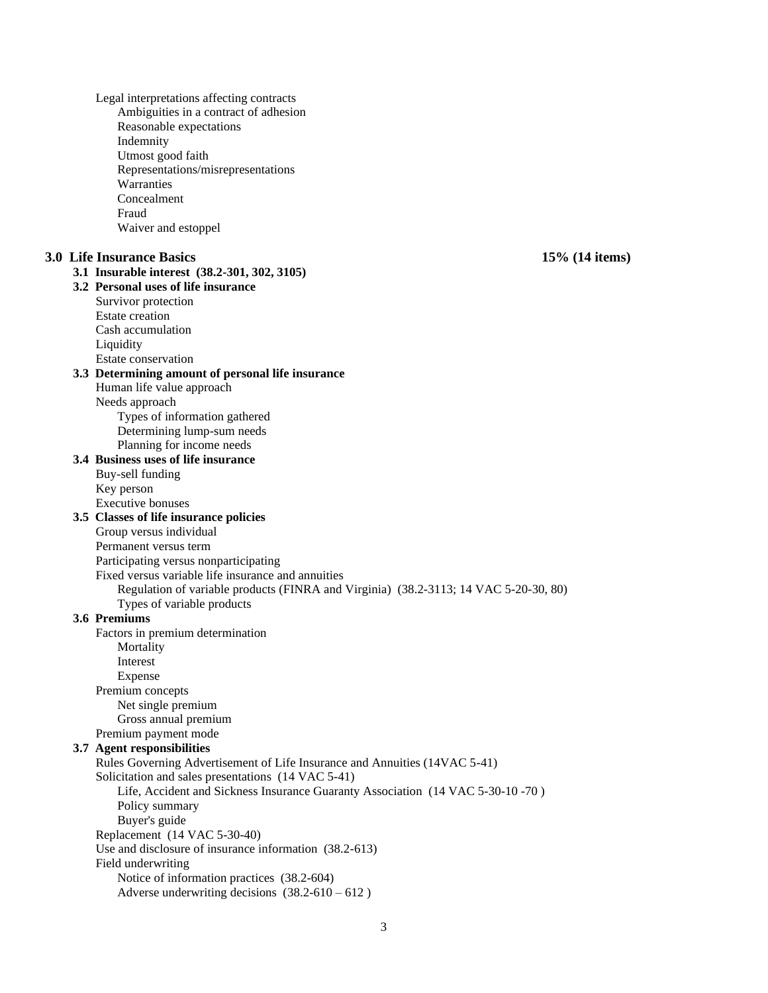Legal interpretations affecting contracts Ambiguities in a contract of adhesion Reasonable expectations Indemnity Utmost good faith Representations/misrepresentations Warranties Concealment Fraud Waiver and estoppel **3.0 Life Insurance Basics 15% (14 items) 3.1 Insurable interest (38.2-301, 302, 3105) 3.2 Personal uses of life insurance**  Survivor protection Estate creation Cash accumulation Liquidity Estate conservation **3.3 Determining amount of personal life insurance**  Human life value approach Needs approach Types of information gathered Determining lump-sum needs Planning for income needs **3.4 Business uses of life insurance**  Buy-sell funding Key person Executive bonuses **3.5 Classes of life insurance policies**  Group versus individual Permanent versus term Participating versus nonparticipating Fixed versus variable life insurance and annuities Regulation of variable products (FINRA and Virginia) (38.2-3113; 14 VAC 5-20-30, 80) Types of variable products **3.6 Premiums**  Factors in premium determination **Mortality** Interest Expense Premium concepts Net single premium Gross annual premium Premium payment mode **3.7 Agent responsibilities**  Rules Governing Advertisement of Life Insurance and Annuities (14VAC 5-41) Solicitation and sales presentations (14 VAC 5-41) Life, Accident and Sickness Insurance Guaranty Association (14 VAC 5-30-10 -70 ) Policy summary Buyer's guide Replacement (14 VAC 5-30-40) Use and disclosure of insurance information (38.2-613) Field underwriting Notice of information practices (38.2-604) Adverse underwriting decisions  $(38.2-610-612)$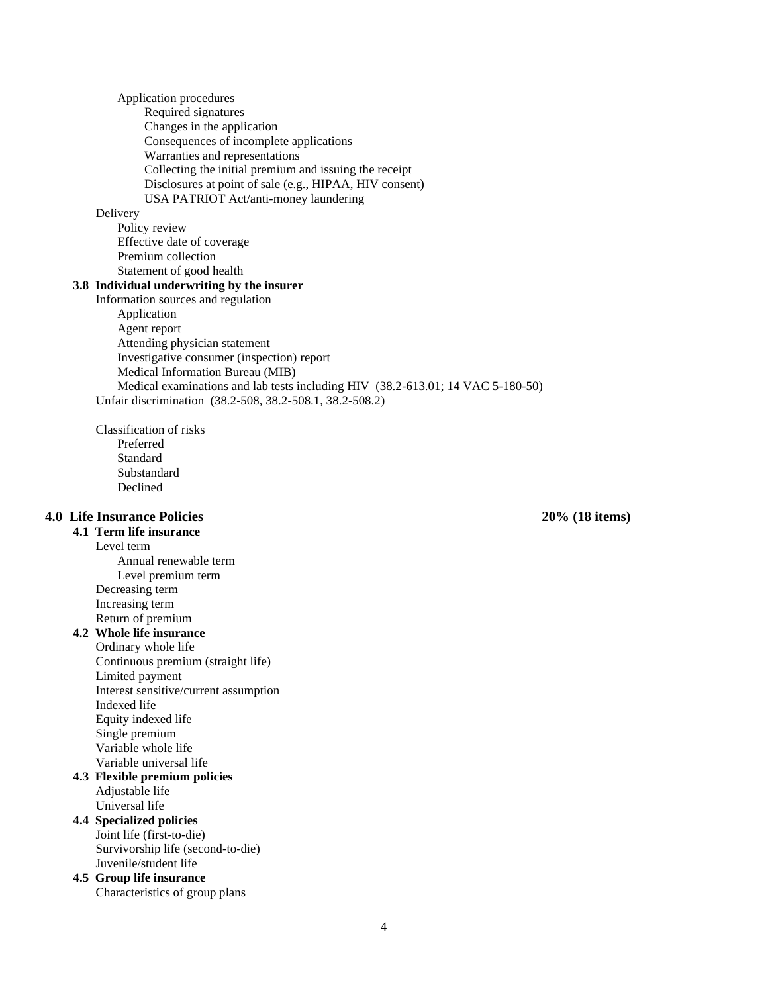Application procedures

Required signatures

Changes in the application Consequences of incomplete applications

Warranties and representations

Collecting the initial premium and issuing the receipt

Disclosures at point of sale (e.g., HIPAA, HIV consent)

USA PATRIOT Act/anti-money laundering

#### Delivery

Policy review Effective date of coverage Premium collection Statement of good health

#### **3.8 Individual underwriting by the insurer**

Information sources and regulation Application Agent report Attending physician statement Investigative consumer (inspection) report Medical Information Bureau (MIB) Medical examinations and lab tests including HIV (38.2-613.01; 14 VAC 5-180-50) Unfair discrimination (38.2-508, 38.2-508.1, 38.2-508.2)

Classification of risks Preferred Standard

Substandard Declined

### **4.0 Life Insurance Policies 20% (18 items)**

**4.1 Term life insurance** 

Level term

Annual renewable term Level premium term Decreasing term Increasing term Return of premium

#### **4.2 Whole life insurance**

Ordinary whole life Continuous premium (straight life) Limited payment Interest sensitive/current assumption Indexed life Equity indexed life Single premium Variable whole life Variable universal life

#### **4.3 Flexible premium policies**  Adjustable life

Universal life **4.4 Specialized policies** 

Joint life (first-to-die) Survivorship life (second-to-die) Juvenile/student life

**4.5 Group life insurance**  Characteristics of group plans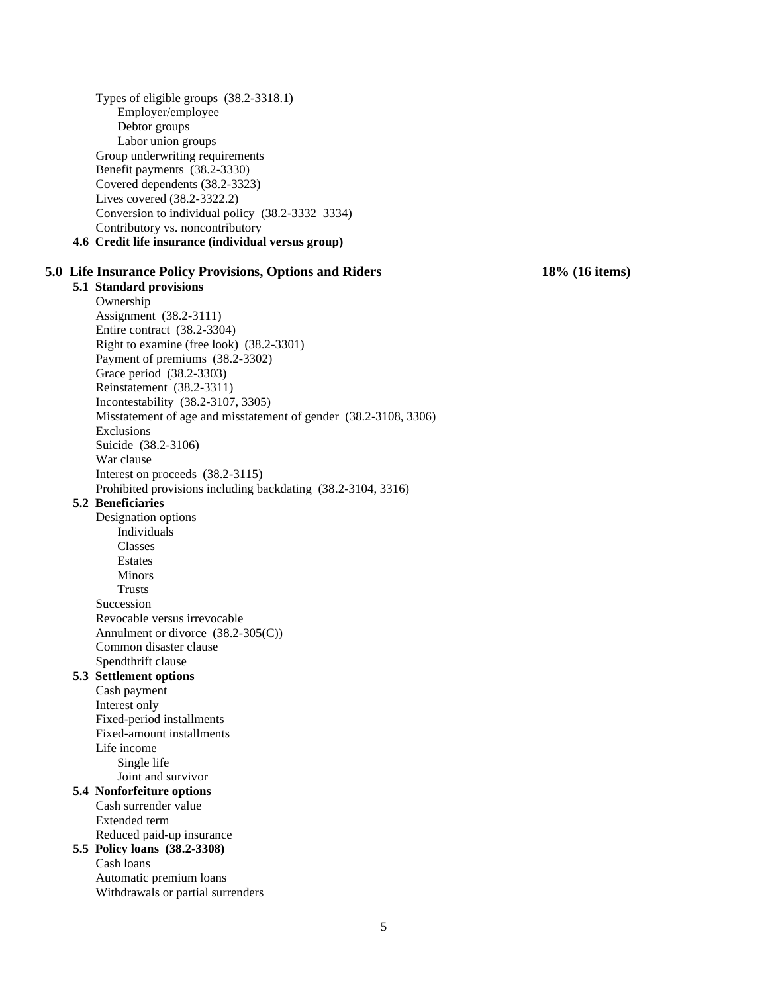Types of eligible groups (38.2-3318.1) Employer/employee Debtor groups Labor union groups Group underwriting requirements Benefit payments (38.2-3330) Covered dependents (38.2-3323) Lives covered (38.2-3322.2) Conversion to individual policy (38.2-3332–3334) Contributory vs. noncontributory **4.6 Credit life insurance (individual versus group)** 

#### **5.0 Life Insurance Policy Provisions, Options and Riders 18% (16 items)**

**5.1 Standard provisions**  Ownership Assignment (38.2-3111) Entire contract (38.2-3304) Right to examine (free look) (38.2-3301) Payment of premiums (38.2-3302)

Grace period (38.2-3303) Reinstatement (38.2-3311) Incontestability (38.2-3107, 3305) Misstatement of age and misstatement of gender (38.2-3108, 3306) Exclusions Suicide (38.2-3106) War clause Interest on proceeds (38.2-3115) Prohibited provisions including backdating (38.2-3104, 3316)

#### **5.2 Beneficiaries**

Designation options Individuals Classes Estates Minors **Trusts** Succession Revocable versus irrevocable Annulment or divorce (38.2-305(C)) Common disaster clause Spendthrift clause **5.3 Settlement options**  Cash payment Interest only

Fixed-period installments Fixed-amount installments Life income Single life Joint and survivor

#### **5.4 Nonforfeiture options**

Cash surrender value Extended term Reduced paid-up insurance

# **5.5 Policy loans (38.2-3308)**

Cash loans Automatic premium loans Withdrawals or partial surrenders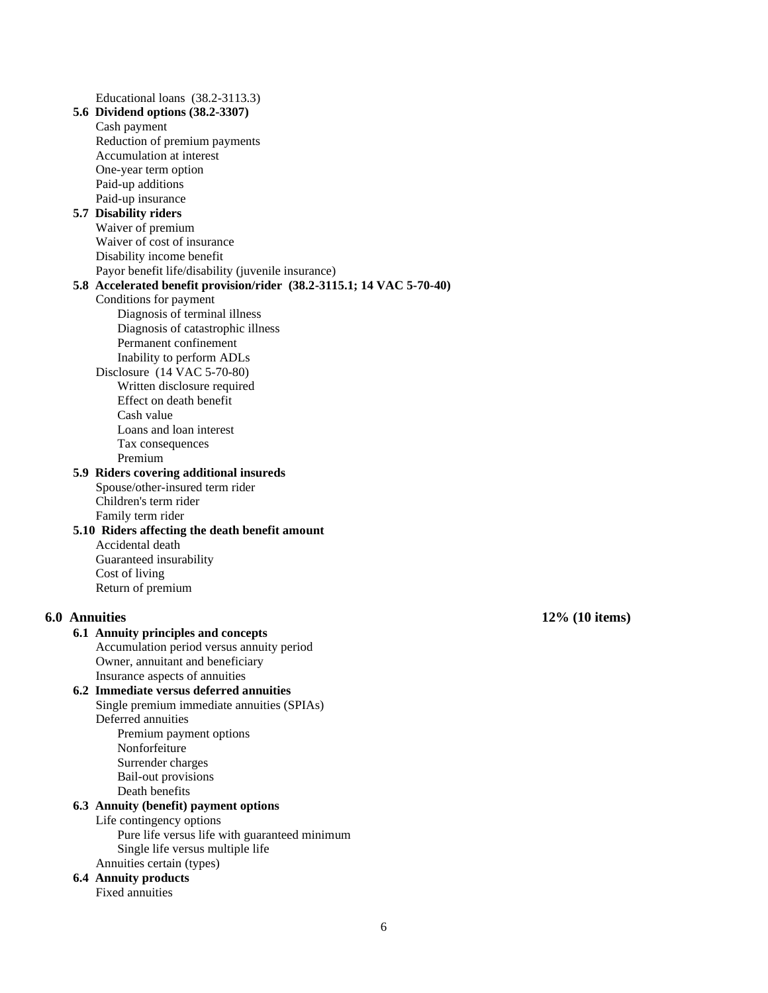Educational loans (38.2-3113.3) **5.6 Dividend options (38.2-3307)** Cash payment Reduction of premium payments Accumulation at interest One-year term option Paid-up additions Paid-up insurance **5.7 Disability riders**  Waiver of premium Waiver of cost of insurance Disability income benefit Payor benefit life/disability (juvenile insurance) **5.8 Accelerated benefit provision/rider (38.2-3115.1; 14 VAC 5-70-40)** Conditions for payment Diagnosis of terminal illness Diagnosis of catastrophic illness Permanent confinement Inability to perform ADLs Disclosure (14 VAC 5-70-80) Written disclosure required Effect on death benefit Cash value Loans and loan interest Tax consequences Premium **5.9 Riders covering additional insureds**  Spouse/other-insured term rider Children's term rider Family term rider **5.10 Riders affecting the death benefit amount**  Accidental death Guaranteed insurability Cost of living Return of premium **6.0 Annuities 12% (10 items) 6.1 Annuity principles and concepts**  Accumulation period versus annuity period Owner, annuitant and beneficiary Insurance aspects of annuities **6.2 Immediate versus deferred annuities**  Single premium immediate annuities (SPIAs) Deferred annuities Premium payment options Nonforfeiture Surrender charges Bail-out provisions Death benefits **6.3 Annuity (benefit) payment options**  Life contingency options Pure life versus life with guaranteed minimum Single life versus multiple life Annuities certain (types) **6.4 Annuity products**  Fixed annuities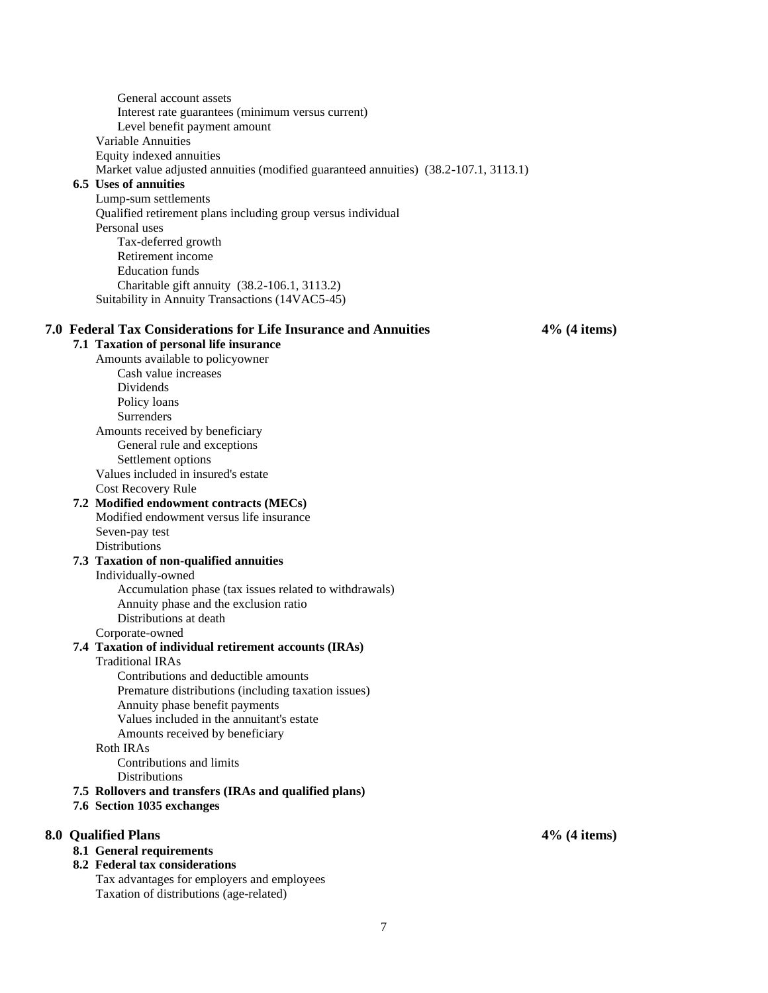General account assets Interest rate guarantees (minimum versus current) Level benefit payment amount Variable Annuities Equity indexed annuities Market value adjusted annuities (modified guaranteed annuities) (38.2-107.1, 3113.1) **6.5 Uses of annuities**  Lump-sum settlements Qualified retirement plans including group versus individual Personal uses Tax-deferred growth Retirement income Education funds Charitable gift annuity (38.2-106.1, 3113.2) Suitability in Annuity Transactions (14VAC5-45) **7.0 Federal Tax Considerations for Life Insurance and Annuities 4% (4 items) 7.1 Taxation of personal life insurance**  Amounts available to policyowner Cash value increases Dividends Policy loans **Surrenders** Amounts received by beneficiary General rule and exceptions Settlement options Values included in insured's estate Cost Recovery Rule **7.2 Modified endowment contracts (MECs)**  Modified endowment versus life insurance Seven-pay test Distributions **7.3 Taxation of non-qualified annuities**  Individually-owned Accumulation phase (tax issues related to withdrawals) Annuity phase and the exclusion ratio Distributions at death Corporate-owned **7.4 Taxation of individual retirement accounts (IRAs)**  Traditional IRAs Contributions and deductible amounts Premature distributions (including taxation issues) Annuity phase benefit payments Values included in the annuitant's estate Amounts received by beneficiary Roth IRAs Contributions and limits Distributions **7.5 Rollovers and transfers (IRAs and qualified plans) 7.6 Section 1035 exchanges** 

#### **8.0 Qualified Plans 4% (4 items)**

### **8.1 General requirements**

#### **8.2 Federal tax considerations**

Tax advantages for employers and employees Taxation of distributions (age-related)